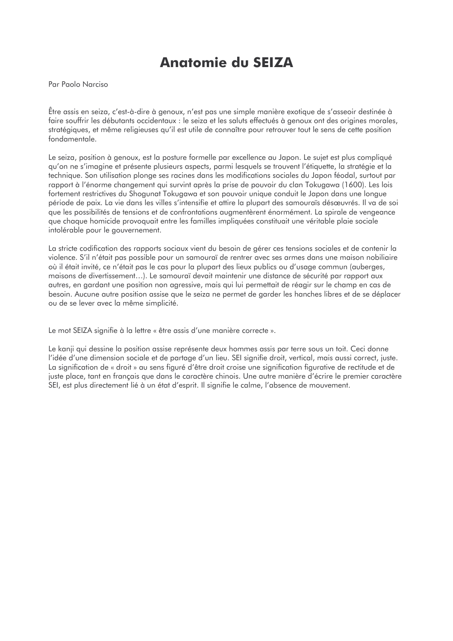# **Anatomie du SEIZA**

Par Paolo Narciso

Être assis en seiza, c'est-à-dire à genoux, n'est pas une simple manière exotique de s'asseoir destinée à faire souffrir les débutants occidentaux : le seiza et les saluts effectués à genoux ont des origines morales, stratégiques, et même religieuses qu'il est utile de connaître pour retrouver tout le sens de cette position fondamentale.

Le seiza, position à genoux, est la posture formelle par excellence au Japon. Le sujet est plus compliqué gu'on ne s'imagine et présente plusieurs aspects, parmi lesquels se trouvent l'étiquette, la stratégie et la technique. Son utilisation plonge ses racines dans les modifications sociales du Japon féodal, surtout par rapport à l'énorme changement qui survint après la prise de pouvoir du clan Tokugawa (1600). Les lois fortement restrictives du Shogunat Tokugawa et son pouvoir unique conduit le Japon dans une longue période de paix. La vie dans les villes s'intensifie et attire la plupart des samouraïs désœuvrés. Il va de soi que les possibilités de tensions et de confrontations augmentèrent énormément. La spirale de vengeance que chaque homicide provoquait entre les familles impliquées constituait une véritable plaie sociale intolérable pour le gouvernement.

La stricte codification des rapports sociaux vient du besoin de gérer ces tensions sociales et de contenir la violence. S'il n'était pas possible pour un samouraï de rentrer avec ses armes dans une maison nobiliaire où il était invité, ce n'était pas le cas pour la plupart des lieux publics ou d'usage commun (auberges, maisons de divertissement...). Le samouraï devait maintenir une distance de sécurité par rapport aux autres, en gardant une position non agressive, mais qui lui permettait de réagir sur le champ en cas de besoin. Aucune autre position assise que le seiza ne permet de garder les hanches libres et de se déplacer ou de se lever avec la même simplicité.

Le mot SEIZA signifie à la lettre « être assis d'une manière correcte ».

Le kanji qui dessine la position assise représente deux hommes assis par terre sous un toit. Ceci donne l'idée d'une dimension sociale et de partage d'un lieu. SEI signifie droit, vertical, mais aussi correct, juste. La signification de « droit » au sens figuré d'être droit croise une signification figurative de rectitude et de juste place, tant en français que dans le caractère chinois. Une autre manière d'écrire le premier caractère SEI, est plus directement lié à un état d'esprit. Il signifie le calme, l'absence de mouvement.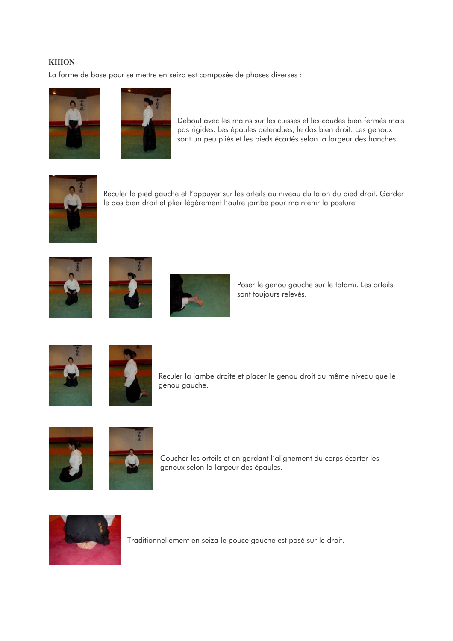## **KIHON**

La forme de base pour se mettre en seiza est composée de phases diverses :





Debout avec les mains sur les cuisses et les coudes bien fermés mais pas rigides. Les épaules détendues, le dos bien droit. Les genoux sont un peu pliés et les pieds écartés selon la largeur des hanches.



Reculer le pied gauche et l'appuyer sur les orteils au niveau du talon du pied droit. Garder le dos bien droit et plier légèrement l'autre jambe pour maintenir la posture







Poser le genou gauche sur le tatami. Les orteils sont toujours relevés.





Reculer la jambe droite et placer le genou droit au même niveau que le genou gauche.





Coucher les orteils et en gardant l'alignement du corps écarter les genoux selon la largeur des épaules.



Traditionnellement en seiza le pouce gauche est posé sur le droit.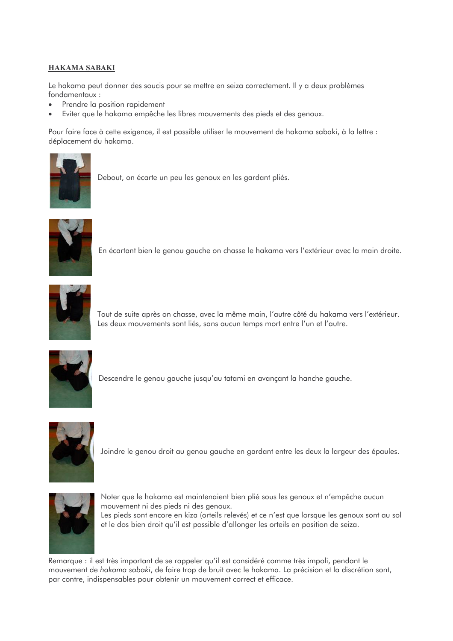## **HAKAMA SABAKI**

Le hakama peut donner des soucis pour se mettre en seiza correctement. Il y a deux problèmes fondamentaux:

- Prendre la position rapidement
- Eviter que le hakama empêche les libres mouvements des pieds et des genoux.  $\bullet$

Pour faire face à cette exigence, il est possible utiliser le mouvement de hakama sabaki, à la lettre : déplacement du hakama.



Debout, on écarte un peu les genoux en les gardant pliés.



En écartant bien le genou gauche on chasse le hakama vers l'extérieur avec la main droite.



Tout de suite après on chasse, avec la même main, l'autre côté du hakama vers l'extérieur. Les deux mouvements sont liés, sans aucun temps mort entre l'un et l'autre.



Descendre le genou gauche jusqu'au tatami en avançant la hanche gauche.



Joindre le genou droit au genou gauche en gardant entre les deux la largeur des épaules.



Noter que le hakama est maintenaient bien plié sous les genoux et n'empêche aucun mouvement ni des pieds ni des genoux. Les pieds sont encore en kiza (orteils relevés) et ce n'est que lorsque les genoux sont au sol et le dos bien droit qu'il est possible d'allonger les orteils en position de seiza.

Remarque : il est très important de se rappeler qu'il est considéré comme très impoli, pendant le mouvement de hakama sabaki, de faire trop de bruit avec le hakama. La précision et la discrétion sont, par contre, indispensables pour obtenir un mouvement correct et efficace.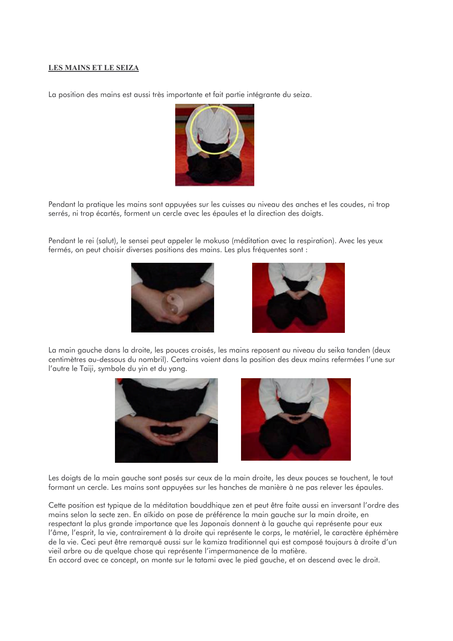#### **LES MAINS ET LE SEIZA**

La position des mains est aussi très importante et fait partie intégrante du seiza.



Pendant la pratique les mains sont appuyées sur les cuisses au niveau des anches et les coudes, ni trop serrés, ni trop écartés, forment un cercle avec les épaules et la direction des doiats.

Pendant le rei (salut), le sensei peut appeler le mokuso (méditation avec la respiration). Avec les yeux fermés, on peut choisir diverses positions des mains. Les plus fréquentes sont :





La main aquche dans la droite, les pouces croisés, les mains reposent au niveau du seika tanden (deux centimètres au-dessous du nombril). Certains voient dans la position des deux mains refermées l'une sur l'autre le Taiji, symbole du yin et du yang.





Les doigts de la main gauche sont posés sur ceux de la main droite, les deux pouces se touchent, le tout formant un cercle. Les mains sont appuyées sur les hanches de manière à ne pas relever les épaules.

Cette position est typique de la méditation bouddhique zen et peut être faite aussi en inversant l'ordre des mains selon la secte zen. En aïkido on pose de préférence la main gauche sur la main droite, en respectant la plus grande importance que les Japonais donnent à la gauche qui représente pour eux l'âme, l'esprit, la vie, contrairement à la droite qui représente le corps, le matériel, le caractère éphémère de la vie. Ceci peut être remarqué aussi sur le kamiza traditionnel qui est composé toujours à droite d'un vieil arbre ou de quelque chose qui représente l'impermanence de la matière.

En accord avec ce concept, on monte sur le tatami avec le pied gauche, et on descend avec le droit.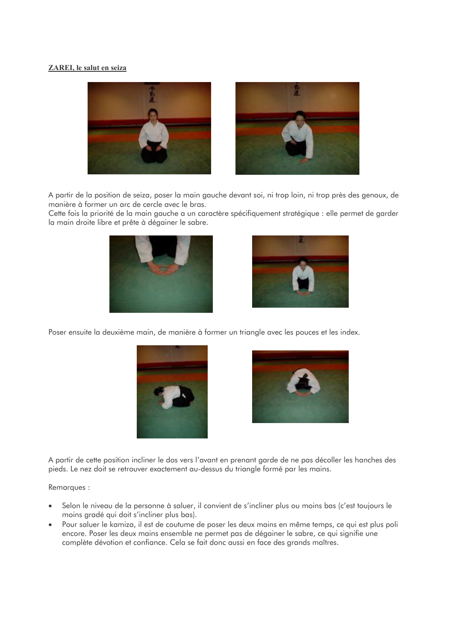#### ZAREI, le salut en seiza



A partir de la position de seiza, poser la main gauche devant soi, ni trop loin, ni trop près des genoux, de manière à former un arc de cercle avec le bras.

Cette fois la priorité de la main gauche a un caractère spécifiquement stratégique : elle permet de garder la main droite libre et prête à dégainer le sabre.





Poser ensuite la deuxième main, de manière à former un triangle avec les pouces et les index.





A partir de cette position incliner le dos vers l'avant en prenant garde de ne pas décoller les hanches des pieds. Le nez doit se retrouver exactement au-dessus du triangle formé par les mains.

Remarques:

- Selon le niveau de la personne à saluer, il convient de s'incliner plus ou moins bas (c'est toujours le moins gradé qui doit s'incliner plus bas).
- Pour saluer le kamiza, il est de coutume de poser les deux mains en même temps, ce qui est plus poli encore. Poser les deux mains ensemble ne permet pas de dégainer le sabre, ce qui signifie une complète dévotion et confiance. Cela se fait donc aussi en face des grands maîtres.